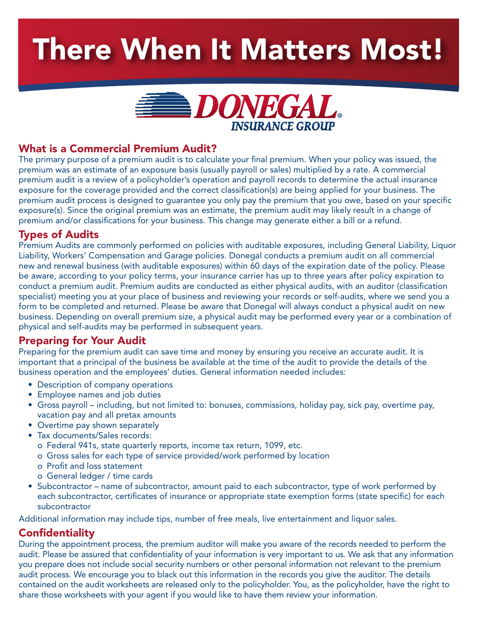# There When It Matters Most!



# What is a Commercial Premium Audit?

The primary purpose of a premium audit is to calculate your final premium. When your policy was issued, the premium was an estimate of an exposure basis (usually payroll or sales) multiplied by a rate. A commercial premium audit is a review of a policyholder's operation and payroll records to determine the actual insurance exposure for the coverage provided and the correct classification(s) are being applied for your business. The premium audit process is designed to guarantee you only pay the premium that you owe, based on your specific exposure(s). Since the original premium was an estimate, the premium audit may likely result in a change of premium and/or classifications for your business. This change may generate either a bill or a refund.

## Types of Audits

Premium Audits are commonly performed on policies with auditable exposures, including General Liability, Liquor Liability, Workers' Compensation and Garage policies. Donegal conducts a premium audit on all commercial new and renewal business (with auditable exposures) within 60 days of the expiration date of the policy. Please be aware, according to your policy terms, your insurance carrier has up to three years after policy expiration to conduct a premium audit. Premium audits are conducted as either physical audits, with an auditor (classification specialist) meeting you at your place of business and reviewing your records or self-audits, where we send you a form to be completed and returned. Please be aware that Donegal will always conduct a physical audit on new business. Depending on overall premium size, a physical audit may be performed every year or a combination of physical and self-audits may be performed in subsequent years.

# Preparing for Your Audit

Preparing for the premium audit can save time and money by ensuring you receive an accurate audit. It is important that a principal of the business be available at the time of the audit to provide the details of the business operation and the employees' duties. General information needed includes:

- Description of company operations
- Employee names and job duties
- Gross payroll including, but not limited to: bonuses, commissions, holiday pay, sick pay, overtime pay, vacation pay and all pretax amounts
- Overtime pay shown separately
- Tax documents/Sales records:
	- o Federal 941s, state quarterly reports, income tax return, 1099, etc.
	- o Gross sales for each type of service provided/work performed by location
	- o Profit and loss statement
	- o General ledger / time cards
- Subcontractor name of subcontractor, amount paid to each subcontractor, type of work performed by each subcontractor, certificates of insurance or appropriate state exemption forms (state specific) for each subcontractor

Additional information may include tips, number of free meals, live entertainment and liquor sales.

# **Confidentiality**

During the appointment process, the premium auditor will make you aware of the records needed to perform the audit. Please be assured that confidentiality of your information is very important to us. We ask that any information you prepare does not include social security numbers or other personal information not relevant to the premium audit process. We encourage you to black out this information in the records you give the auditor. The details contained on the audit worksheets are released only to the policyholder. You, as the policyholder, have the right to share those worksheets with your agent if you would like to have them review your information.